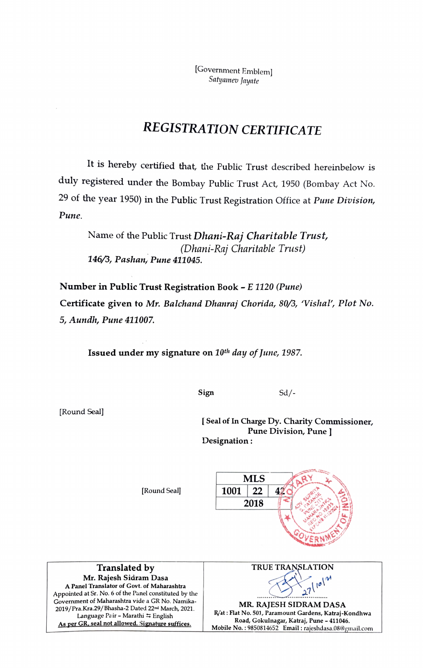[Government Emblem] Satyamev Jayate

## REGISTRATION CERTIFICATE

It is hereby certified that, the Public Trust described hereinbelow is duly registered under the Bombay Public Trust Act, 1950 (Bombay Act No. 29 of the year 1950) in the Public Trust Registration Office at Pune Division, Pune.

Name of the Public Trust Dhani-Raj Charitable Trust, (Dhani-Raj Charitable Trust) 146/3, Pashan, Pune 411045.

Number in Public Trust Registration Book - E 1120 (Pune) Certificate given to Mr. Balchand Dhanraj Chorida, 80/3, Vishal', Plot No. 5, Aundh, Pune 411007.

Issued under my signature on 10<sup>th</sup> day of June, 1987.

Sign Sd/-

[Seal of In Charge Dy. Charity Commissioner, Pune Division, Pune ] Designation:

[Round Seal]



Translated by Mr. Rajesh Sidram Dasa A Panel Translator of Govt. of Maharashtra Appointed at Sr. No. 6 of the Panel constituted by the Government of Maharashtra vide a GR No. Namika-2019/Pra.Kra.29/Bhasha-2 Dated 22nd March, 2021. Language Pair - Marathi English As per GR, seal not allowed. Signature suffices.

\*\*\*\*\*\*\*\*\*\*\*\*\*\*\*\*\*\*\*\*\*\*\*\*\*\*\*\*\*\*\* MR. RAJESH SIDRAM DASA R/at: Flat No. 501, Paramount Gardens, Katraj-Kondhwa Road, Gokulnagar, Katraj, Pune - 411046. Mobile No.:9850814652 Email: rajeshdasa.08@gmail.com

TRUE TRANSLATION